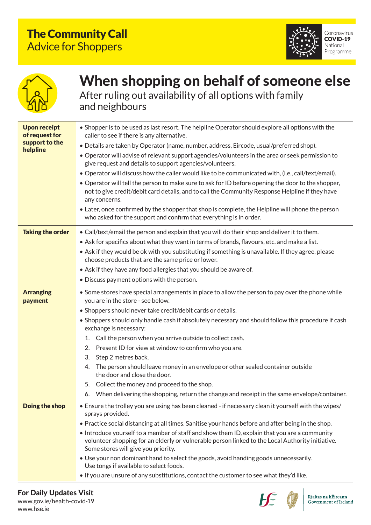## The Community Call Advice for Shoppers





## When shopping on behalf of someone else After ruling out availability of all options with family

and neighbours

| <b>Upon receipt</b><br>of request for<br>support to the<br>helpline | • Shopper is to be used as last resort. The helpline Operator should explore all options with the<br>caller to see if there is any alternative.<br>· Details are taken by Operator (name, number, address, Eircode, usual/preferred shop).<br>. Operator will advise of relevant support agencies/volunteers in the area or seek permission to<br>give request and details to support agencies/volunteers.<br>. Operator will discuss how the caller would like to be communicated with, (i.e., call/text/email).<br>• Operator will tell the person to make sure to ask for ID before opening the door to the shopper,<br>not to give credit/debit card details, and to call the Community Response Helpline if they have<br>any concerns.<br>• Later, once confirmed by the shopper that shop is complete, the Helpline will phone the person<br>who asked for the support and confirm that everything is in order. |
|---------------------------------------------------------------------|-----------------------------------------------------------------------------------------------------------------------------------------------------------------------------------------------------------------------------------------------------------------------------------------------------------------------------------------------------------------------------------------------------------------------------------------------------------------------------------------------------------------------------------------------------------------------------------------------------------------------------------------------------------------------------------------------------------------------------------------------------------------------------------------------------------------------------------------------------------------------------------------------------------------------|
| <b>Taking the order</b>                                             | • Call/text/email the person and explain that you will do their shop and deliver it to them.<br>. Ask for specifics about what they want in terms of brands, flavours, etc. and make a list.<br>• Ask if they would be ok with you substituting if something is unavailable. If they agree, please<br>choose products that are the same price or lower.<br>• Ask if they have any food allergies that you should be aware of.                                                                                                                                                                                                                                                                                                                                                                                                                                                                                         |
|                                                                     | • Discuss payment options with the person.                                                                                                                                                                                                                                                                                                                                                                                                                                                                                                                                                                                                                                                                                                                                                                                                                                                                            |
| <b>Arranging</b><br>payment                                         | • Some stores have special arrangements in place to allow the person to pay over the phone while<br>you are in the store - see below.<br>• Shoppers should never take credit/debit cards or details.<br>• Shoppers should only handle cash if absolutely necessary and should follow this procedure if cash<br>exchange is necessary:<br>Call the person when you arrive outside to collect cash.<br>1.<br>2.<br>Present ID for view at window to confirm who you are.<br>3.<br>Step 2 metres back.<br>The person should leave money in an envelope or other sealed container outside<br>4.<br>the door and close the door.<br>Collect the money and proceed to the shop.<br>5.<br>When delivering the shopping, return the change and receipt in the same envelope/container.<br>6.                                                                                                                                  |
| Doing the shop                                                      | • Ensure the trolley you are using has been cleaned - if necessary clean it yourself with the wipes/<br>sprays provided.<br>. Practice social distancing at all times. Sanitise your hands before and after being in the shop.<br>• Introduce yourself to a member of staff and show them ID, explain that you are a community<br>volunteer shopping for an elderly or vulnerable person linked to the Local Authority initiative.<br>Some stores will give you priority.<br>• Use your non dominant hand to select the goods, avoid handing goods unnecessarily.<br>Use tongs if available to select foods.<br>. If you are unsure of any substitutions, contact the customer to see what they'd like.                                                                                                                                                                                                               |